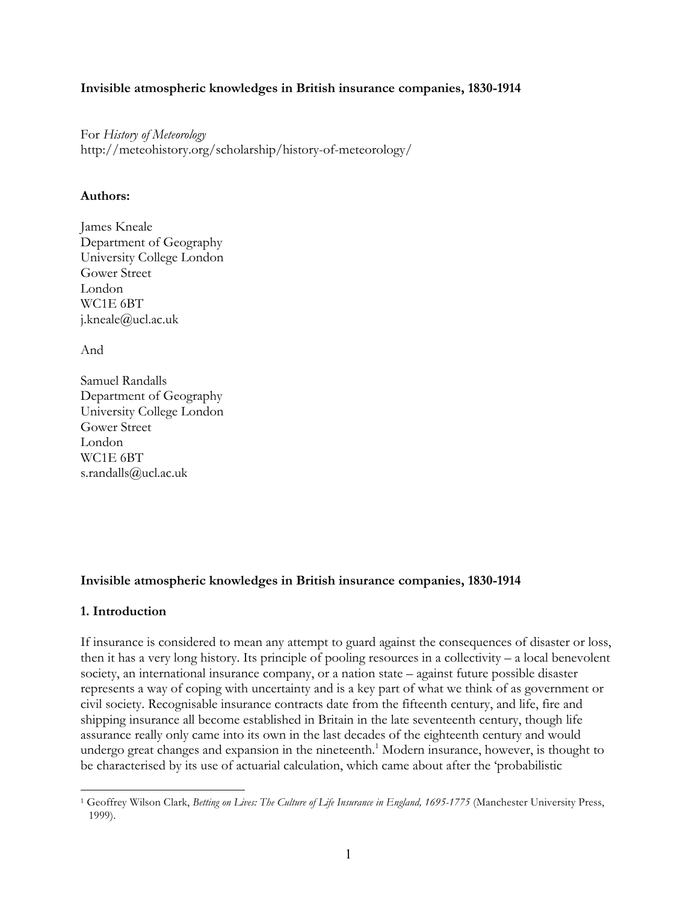## **Invisible atmospheric knowledges in British insurance companies, 1830-1914**

For *History of Meteorology* http://meteohistory.org/scholarship/history-of-meteorology/

### **Authors:**

James Kneale Department of Geography University College London Gower Street London WC1E 6BT j.kneale@ucl.ac.uk

And

Samuel Randalls Department of Geography University College London Gower Street London WC1E 6BT s.randalls@ucl.ac.uk

# **Invisible atmospheric knowledges in British insurance companies, 1830-1914**

# **1. Introduction**

 $\overline{a}$ 

If insurance is considered to mean any attempt to guard against the consequences of disaster or loss, then it has a very long history. Its principle of pooling resources in a collectivity – a local benevolent society, an international insurance company, or a nation state – against future possible disaster represents a way of coping with uncertainty and is a key part of what we think of as government or civil society. Recognisable insurance contracts date from the fifteenth century, and life, fire and shipping insurance all become established in Britain in the late seventeenth century, though life assurance really only came into its own in the last decades of the eighteenth century and would undergo great changes and expansion in the nineteenth.<sup>1</sup> Modern insurance, however, is thought to be characterised by its use of actuarial calculation, which came about after the 'probabilistic

<sup>1</sup> Geoffrey Wilson Clark, *Betting on Lives: The Culture of Life Insurance in England, 1695-1775* (Manchester University Press, 1999).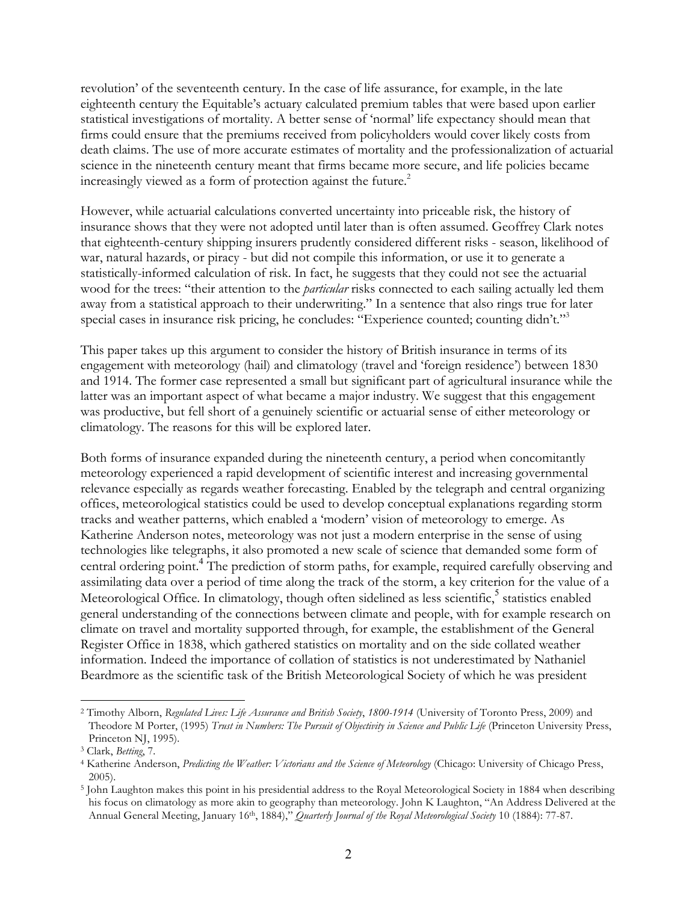revolution' of the seventeenth century. In the case of life assurance, for example, in the late eighteenth century the Equitable's actuary calculated premium tables that were based upon earlier statistical investigations of mortality. A better sense of 'normal' life expectancy should mean that firms could ensure that the premiums received from policyholders would cover likely costs from death claims. The use of more accurate estimates of mortality and the professionalization of actuarial science in the nineteenth century meant that firms became more secure, and life policies became increasingly viewed as a form of protection against the future.<sup>2</sup>

However, while actuarial calculations converted uncertainty into priceable risk, the history of insurance shows that they were not adopted until later than is often assumed. Geoffrey Clark notes that eighteenth-century shipping insurers prudently considered different risks - season, likelihood of war, natural hazards, or piracy - but did not compile this information, or use it to generate a statistically-informed calculation of risk. In fact, he suggests that they could not see the actuarial wood for the trees: "their attention to the *particular* risks connected to each sailing actually led them away from a statistical approach to their underwriting." In a sentence that also rings true for later special cases in insurance risk pricing, he concludes: "Experience counted; counting didn't."<sup>3</sup>

This paper takes up this argument to consider the history of British insurance in terms of its engagement with meteorology (hail) and climatology (travel and 'foreign residence') between 1830 and 1914. The former case represented a small but significant part of agricultural insurance while the latter was an important aspect of what became a major industry. We suggest that this engagement was productive, but fell short of a genuinely scientific or actuarial sense of either meteorology or climatology. The reasons for this will be explored later.

Both forms of insurance expanded during the nineteenth century, a period when concomitantly meteorology experienced a rapid development of scientific interest and increasing governmental relevance especially as regards weather forecasting. Enabled by the telegraph and central organizing offices, meteorological statistics could be used to develop conceptual explanations regarding storm tracks and weather patterns, which enabled a 'modern' vision of meteorology to emerge. As Katherine Anderson notes, meteorology was not just a modern enterprise in the sense of using technologies like telegraphs, it also promoted a new scale of science that demanded some form of central ordering point.<sup>4</sup> The prediction of storm paths, for example, required carefully observing and assimilating data over a period of time along the track of the storm, a key criterion for the value of a Meteorological Office. In climatology, though often sidelined as less scientific,<sup>5</sup> statistics enabled general understanding of the connections between climate and people, with for example research on climate on travel and mortality supported through, for example, the establishment of the General Register Office in 1838, which gathered statistics on mortality and on the side collated weather information. Indeed the importance of collation of statistics is not underestimated by Nathaniel Beardmore as the scientific task of the British Meteorological Society of which he was president

<sup>2</sup> Timothy Alborn, *Regulated Lives: Life Assurance and British Society*, *1800-1914* (University of Toronto Press, 2009) and Theodore M Porter, (1995) *Trust in Numbers: The Pursuit of Objectivity in Science and Public Life* (Princeton University Press, Princeton NJ, 1995).

<sup>3</sup> Clark, *Betting*, 7.

<sup>4</sup> Katherine Anderson, *Predicting the Weather: Victorians and the Science of Meteorology* (Chicago: University of Chicago Press, 2005).

<sup>5</sup> John Laughton makes this point in his presidential address to the Royal Meteorological Society in 1884 when describing his focus on climatology as more akin to geography than meteorology. John K Laughton, "An Address Delivered at the Annual General Meeting, January 16th, 1884)," *Quarterly Journal of the Royal Meteorological Society* 10 (1884): 77-87.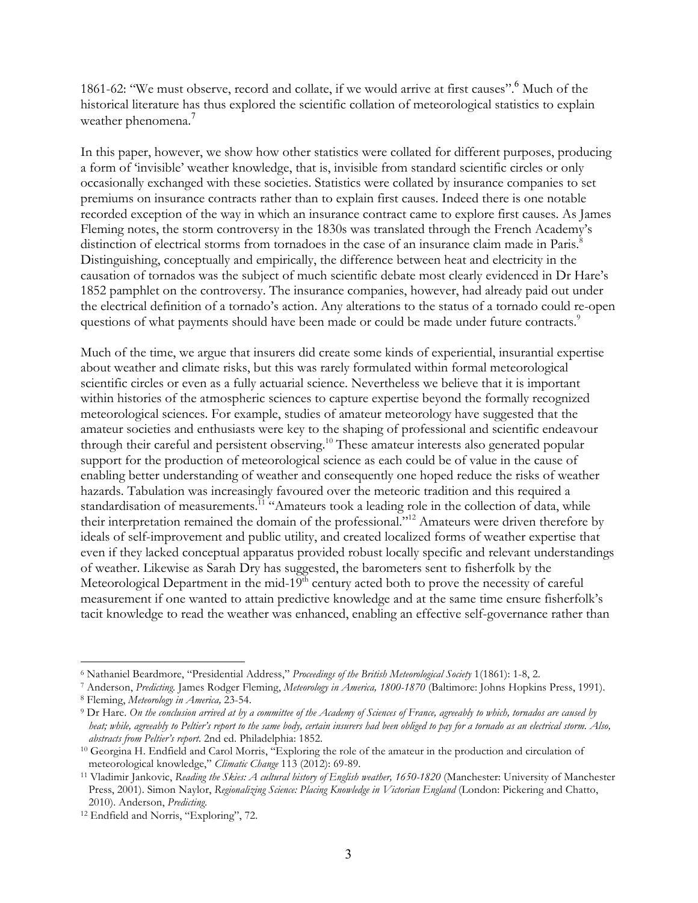1861-62: "We must observe, record and collate, if we would arrive at first causes". Much of the historical literature has thus explored the scientific collation of meteorological statistics to explain weather phenomena.<sup>7</sup>

In this paper, however, we show how other statistics were collated for different purposes, producing a form of 'invisible' weather knowledge, that is, invisible from standard scientific circles or only occasionally exchanged with these societies. Statistics were collated by insurance companies to set premiums on insurance contracts rather than to explain first causes. Indeed there is one notable recorded exception of the way in which an insurance contract came to explore first causes. As James Fleming notes, the storm controversy in the 1830s was translated through the French Academy's distinction of electrical storms from tornadoes in the case of an insurance claim made in Paris.<sup>8</sup> Distinguishing, conceptually and empirically, the difference between heat and electricity in the causation of tornados was the subject of much scientific debate most clearly evidenced in Dr Hare's 1852 pamphlet on the controversy. The insurance companies, however, had already paid out under the electrical definition of a tornado's action. Any alterations to the status of a tornado could re-open questions of what payments should have been made or could be made under future contracts.<sup>9</sup>

Much of the time, we argue that insurers did create some kinds of experiential, insurantial expertise about weather and climate risks, but this was rarely formulated within formal meteorological scientific circles or even as a fully actuarial science. Nevertheless we believe that it is important within histories of the atmospheric sciences to capture expertise beyond the formally recognized meteorological sciences. For example, studies of amateur meteorology have suggested that the amateur societies and enthusiasts were key to the shaping of professional and scientific endeavour through their careful and persistent observing.<sup>10</sup> These amateur interests also generated popular support for the production of meteorological science as each could be of value in the cause of enabling better understanding of weather and consequently one hoped reduce the risks of weather hazards. Tabulation was increasingly favoured over the meteoric tradition and this required a standardisation of measurements.<sup>11</sup> "Amateurs took a leading role in the collection of data, while their interpretation remained the domain of the professional."12 Amateurs were driven therefore by ideals of self-improvement and public utility, and created localized forms of weather expertise that even if they lacked conceptual apparatus provided robust locally specific and relevant understandings of weather. Likewise as Sarah Dry has suggested, the barometers sent to fisherfolk by the Meteorological Department in the mid-19 $<sup>th</sup>$  century acted both to prove the necessity of careful</sup> measurement if one wanted to attain predictive knowledge and at the same time ensure fisherfolk's tacit knowledge to read the weather was enhanced, enabling an effective self-governance rather than

l <sup>6</sup> Nathaniel Beardmore, "Presidential Address," *Proceedings of the British Meteorological Society* 1(1861): 1-8, 2.

<sup>7</sup> Anderson, *Predicting.* James Rodger Fleming, *Meteorology in America, 1800-1870* (Baltimore: Johns Hopkins Press, 1991).

<sup>8</sup> Fleming, *Meteorology in America,* 23-54.

<sup>9</sup> Dr Hare. *On the conclusion arrived at by a committee of the Academy of Sciences of France, agreeably to which, tornados are caused by heat; while, agreeably to Peltier's report to the same body, certain insurers had been obliged to pay for a tornado as an electrical storm. Also, abstracts from Peltier's report*. 2nd ed. Philadelphia: 1852.

<sup>10</sup> Georgina H. Endfield and Carol Morris, "Exploring the role of the amateur in the production and circulation of meteorological knowledge," *Climatic Change* 113 (2012): 69-89.

<sup>&</sup>lt;sup>11</sup> Vladimir Jankovic, *Reading the Skies: A cultural history of English weather, 1650-1820* (Manchester: University of Manchester Press, 2001). Simon Naylor, *Regionalizing Science: Placing Knowledge in Victorian England* (London: Pickering and Chatto, 2010). Anderson, *Predicting*.

<sup>12</sup> Endfield and Norris, "Exploring", 72.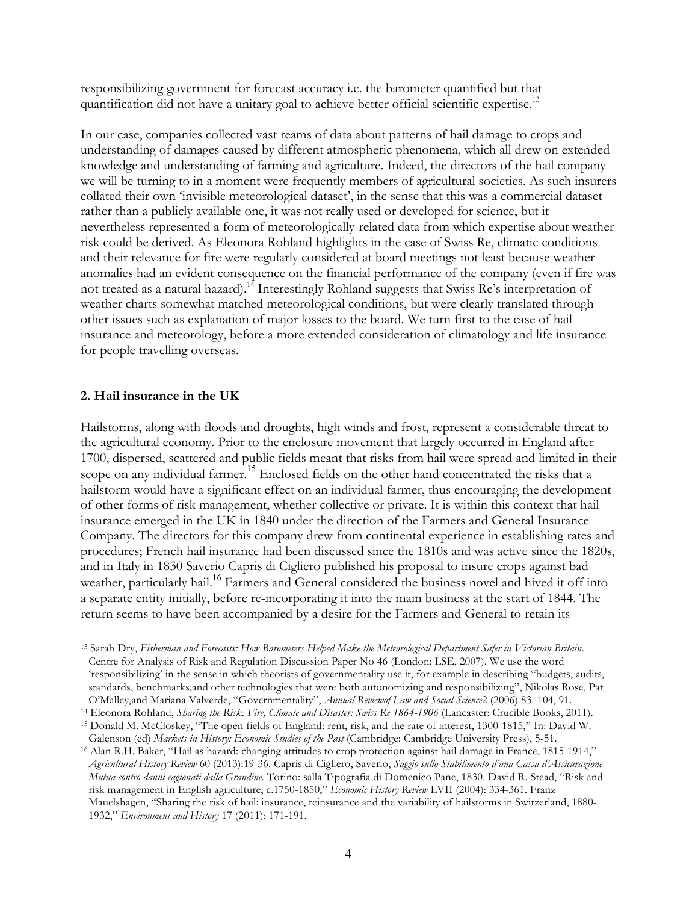responsibilizing government for forecast accuracy i.e. the barometer quantified but that quantification did not have a unitary goal to achieve better official scientific expertise.<sup>13</sup>

In our case, companies collected vast reams of data about patterns of hail damage to crops and understanding of damages caused by different atmospheric phenomena, which all drew on extended knowledge and understanding of farming and agriculture. Indeed, the directors of the hail company we will be turning to in a moment were frequently members of agricultural societies. As such insurers collated their own 'invisible meteorological dataset', in the sense that this was a commercial dataset rather than a publicly available one, it was not really used or developed for science, but it nevertheless represented a form of meteorologically-related data from which expertise about weather risk could be derived. As Eleonora Rohland highlights in the case of Swiss Re, climatic conditions and their relevance for fire were regularly considered at board meetings not least because weather anomalies had an evident consequence on the financial performance of the company (even if fire was not treated as a natural hazard).<sup>14</sup> Interestingly Rohland suggests that Swiss Re's interpretation of weather charts somewhat matched meteorological conditions, but were clearly translated through other issues such as explanation of major losses to the board. We turn first to the case of hail insurance and meteorology, before a more extended consideration of climatology and life insurance for people travelling overseas.

# **2. Hail insurance in the UK**

Hailstorms, along with floods and droughts, high winds and frost, represent a considerable threat to the agricultural economy. Prior to the enclosure movement that largely occurred in England after 1700, dispersed, scattered and public fields meant that risks from hail were spread and limited in their scope on any individual farmer.<sup>15</sup> Enclosed fields on the other hand concentrated the risks that a hailstorm would have a significant effect on an individual farmer, thus encouraging the development of other forms of risk management, whether collective or private. It is within this context that hail insurance emerged in the UK in 1840 under the direction of the Farmers and General Insurance Company. The directors for this company drew from continental experience in establishing rates and procedures; French hail insurance had been discussed since the 1810s and was active since the 1820s, and in Italy in 1830 Saverio Capris di Cigliero published his proposal to insure crops against bad weather, particularly hail.<sup>16</sup> Farmers and General considered the business novel and hived it off into a separate entity initially, before re-incorporating it into the main business at the start of 1844. The return seems to have been accompanied by a desire for the Farmers and General to retain its

l <sup>13</sup> Sarah Dry, *Fisherman and Forecasts: How Barometers Helped Make the Meteorological Department Safer in Victorian Britain*. Centre for Analysis of Risk and Regulation Discussion Paper No 46 (London: LSE, 2007). We use the word 'responsibilizing' in the sense in which theorists of governmentality use it, for example in describing "budgets, audits, standards, benchmarks,and other technologies that were both autonomizing and responsibilizing", Nikolas Rose, Pat O'Malley,and Mariana Valverde, "Governmentality", *Annual Reviewof Law and Social Science*2 (2006) 83–104, 91.

<sup>&</sup>lt;sup>14</sup> Eleonora Rohland, *Sharing the Risk: Fire, Climate and Disaster: Swiss Re 1864-1906* (Lancaster: Crucible Books, 2011). <sup>15</sup> Donald M. McCloskey, "The open fields of England: rent, risk, and the rate of interest, 1300-1815," In: David W.

Galenson (ed) *Markets in History: Economic Studies of the Past* (Cambridge: Cambridge University Press), 5-51. <sup>16</sup> Alan R.H. Baker, "Hail as hazard: changing attitudes to crop protection against hail damage in France, 1815-1914," *Agricultural History Review* 60 (2013):19-36. Capris di Cigliero, Saverio, *Saggio sullo Stabilimento d'una Cassa d'Assicurazione Mutua contro danni cagionati dalla Grandine.* Torino: salla Tipografia di Domenico Pane, 1830. David R. Stead, "Risk and risk management in English agriculture, c.1750-1850," *Economic History Review* LVII (2004): 334-361. Franz Mauelshagen, "Sharing the risk of hail: insurance, reinsurance and the variability of hailstorms in Switzerland, 1880- 1932," *Environment and History* 17 (2011): 171-191.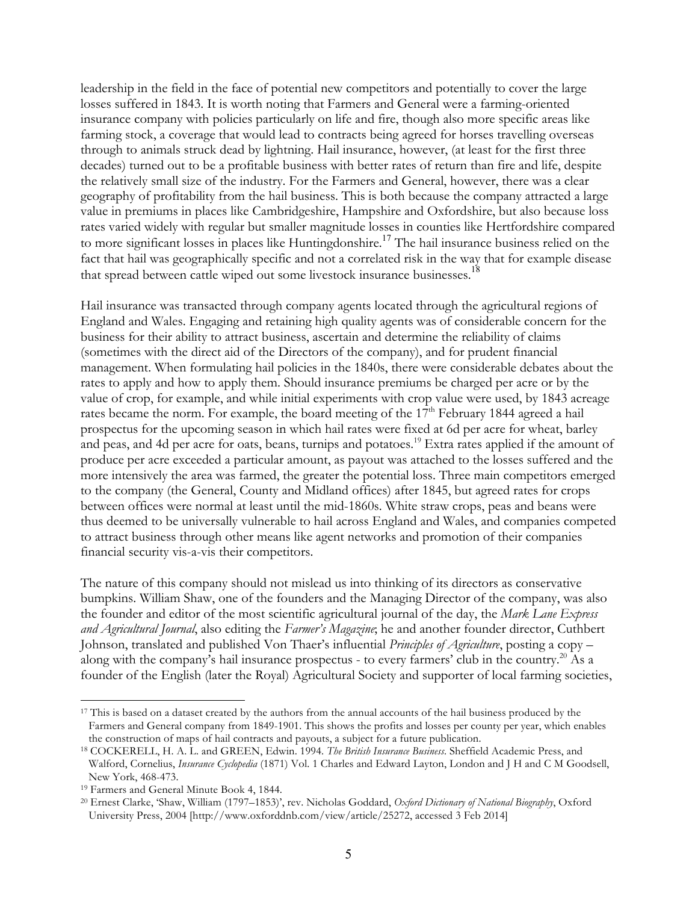leadership in the field in the face of potential new competitors and potentially to cover the large losses suffered in 1843. It is worth noting that Farmers and General were a farming-oriented insurance company with policies particularly on life and fire, though also more specific areas like farming stock, a coverage that would lead to contracts being agreed for horses travelling overseas through to animals struck dead by lightning. Hail insurance, however, (at least for the first three decades) turned out to be a profitable business with better rates of return than fire and life, despite the relatively small size of the industry. For the Farmers and General, however, there was a clear geography of profitability from the hail business. This is both because the company attracted a large value in premiums in places like Cambridgeshire, Hampshire and Oxfordshire, but also because loss rates varied widely with regular but smaller magnitude losses in counties like Hertfordshire compared to more significant losses in places like Huntingdonshire.<sup>17</sup> The hail insurance business relied on the fact that hail was geographically specific and not a correlated risk in the way that for example disease that spread between cattle wiped out some livestock insurance businesses.<sup>18</sup>

Hail insurance was transacted through company agents located through the agricultural regions of England and Wales. Engaging and retaining high quality agents was of considerable concern for the business for their ability to attract business, ascertain and determine the reliability of claims (sometimes with the direct aid of the Directors of the company), and for prudent financial management. When formulating hail policies in the 1840s, there were considerable debates about the rates to apply and how to apply them. Should insurance premiums be charged per acre or by the value of crop, for example, and while initial experiments with crop value were used, by 1843 acreage rates became the norm. For example, the board meeting of the 17<sup>th</sup> February 1844 agreed a hail prospectus for the upcoming season in which hail rates were fixed at 6d per acre for wheat, barley and peas, and 4d per acre for oats, beans, turnips and potatoes.<sup>19</sup> Extra rates applied if the amount of produce per acre exceeded a particular amount, as payout was attached to the losses suffered and the more intensively the area was farmed, the greater the potential loss. Three main competitors emerged to the company (the General, County and Midland offices) after 1845, but agreed rates for crops between offices were normal at least until the mid-1860s. White straw crops, peas and beans were thus deemed to be universally vulnerable to hail across England and Wales, and companies competed to attract business through other means like agent networks and promotion of their companies financial security vis-a-vis their competitors.

The nature of this company should not mislead us into thinking of its directors as conservative bumpkins. William Shaw, one of the founders and the Managing Director of the company, was also the founder and editor of the most scientific agricultural journal of the day, the *Mark Lane Express and Agricultural Journal*, also editing the *Farmer's Magazine*; he and another founder director, Cuthbert Johnson, translated and published Von Thaer's influential *Principles of Agriculture*, posting a copy – along with the company's hail insurance prospectus - to every farmers' club in the country.<sup>20</sup> As a founder of the English (later the Royal) Agricultural Society and supporter of local farming societies,

<sup>&</sup>lt;sup>17</sup> This is based on a dataset created by the authors from the annual accounts of the hail business produced by the Farmers and General company from 1849-1901. This shows the profits and losses per county per year, which enables the construction of maps of hail contracts and payouts, a subject for a future publication.

<sup>18</sup> COCKERELL, H. A. L. and GREEN, Edwin. 1994. *The British Insurance Business*. Sheffield Academic Press, and Walford, Cornelius, *Insurance Cyclopedia* (1871) Vol. 1 Charles and Edward Layton, London and J H and C M Goodsell, New York, 468-473.

<sup>19</sup> Farmers and General Minute Book 4, 1844.

<sup>20</sup> Ernest Clarke, 'Shaw, William (1797–1853)', rev. Nicholas Goddard, *Oxford Dictionary of National Biography*, Oxford University Press, 2004 [http://www.oxforddnb.com/view/article/25272, accessed 3 Feb 2014]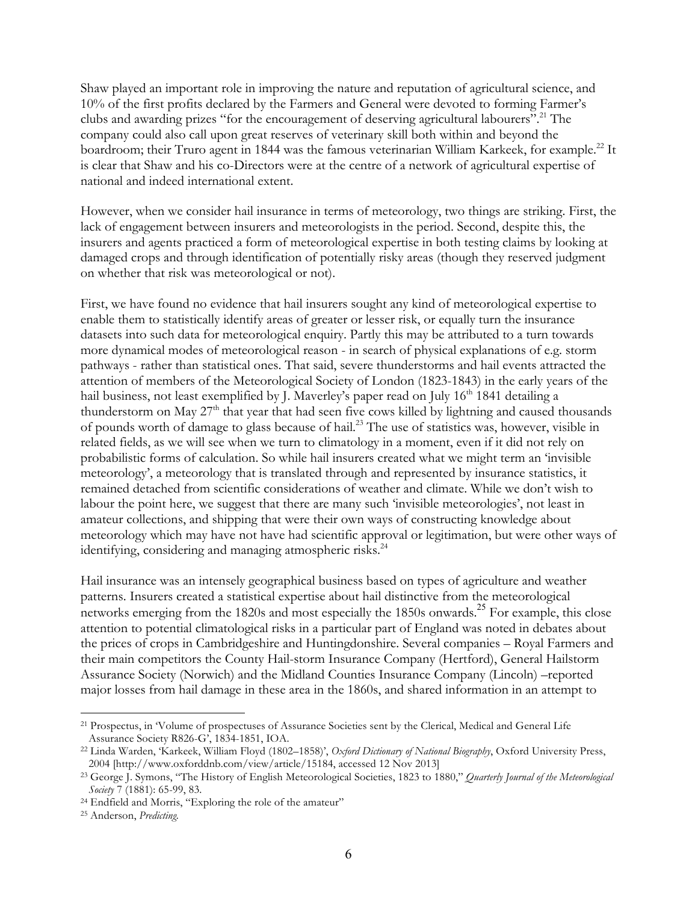Shaw played an important role in improving the nature and reputation of agricultural science, and 10% of the first profits declared by the Farmers and General were devoted to forming Farmer's clubs and awarding prizes "for the encouragement of deserving agricultural labourers".<sup>21</sup> The company could also call upon great reserves of veterinary skill both within and beyond the boardroom; their Truro agent in 1844 was the famous veterinarian William Karkeek, for example.<sup>22</sup> It is clear that Shaw and his co-Directors were at the centre of a network of agricultural expertise of national and indeed international extent.

However, when we consider hail insurance in terms of meteorology, two things are striking. First, the lack of engagement between insurers and meteorologists in the period. Second, despite this, the insurers and agents practiced a form of meteorological expertise in both testing claims by looking at damaged crops and through identification of potentially risky areas (though they reserved judgment on whether that risk was meteorological or not).

First, we have found no evidence that hail insurers sought any kind of meteorological expertise to enable them to statistically identify areas of greater or lesser risk, or equally turn the insurance datasets into such data for meteorological enquiry. Partly this may be attributed to a turn towards more dynamical modes of meteorological reason - in search of physical explanations of e.g. storm pathways - rather than statistical ones. That said, severe thunderstorms and hail events attracted the attention of members of the Meteorological Society of London (1823-1843) in the early years of the hail business, not least exemplified by J. Maverley's paper read on July 16<sup>th</sup> 1841 detailing a thunderstorm on May  $27<sup>th</sup>$  that year that had seen five cows killed by lightning and caused thousands of pounds worth of damage to glass because of hail.<sup>23</sup> The use of statistics was, however, visible in related fields, as we will see when we turn to climatology in a moment, even if it did not rely on probabilistic forms of calculation. So while hail insurers created what we might term an 'invisible meteorology', a meteorology that is translated through and represented by insurance statistics, it remained detached from scientific considerations of weather and climate. While we don't wish to labour the point here, we suggest that there are many such 'invisible meteorologies', not least in amateur collections, and shipping that were their own ways of constructing knowledge about meteorology which may have not have had scientific approval or legitimation, but were other ways of identifying, considering and managing atmospheric risks.<sup>24</sup>

Hail insurance was an intensely geographical business based on types of agriculture and weather patterns. Insurers created a statistical expertise about hail distinctive from the meteorological networks emerging from the 1820s and most especially the 1850s onwards.<sup>25</sup> For example, this close attention to potential climatological risks in a particular part of England was noted in debates about the prices of crops in Cambridgeshire and Huntingdonshire. Several companies – Royal Farmers and their main competitors the County Hail-storm Insurance Company (Hertford), General Hailstorm Assurance Society (Norwich) and the Midland Counties Insurance Company (Lincoln) –reported major losses from hail damage in these area in the 1860s, and shared information in an attempt to

<sup>21</sup> Prospectus, in 'Volume of prospectuses of Assurance Societies sent by the Clerical, Medical and General Life Assurance Society R826-G', 1834-1851, IOA.

<sup>22</sup> Linda Warden, 'Karkeek, William Floyd (1802–1858)', *Oxford Dictionary of National Biography*, Oxford University Press, 2004 [http://www.oxforddnb.com/view/article/15184, accessed 12 Nov 2013]

<sup>23</sup> George J. Symons, "The History of English Meteorological Societies, 1823 to 1880," *Quarterly Journal of the Meteorological Society* 7 (1881): 65-99, 83.

<sup>24</sup> Endfield and Morris, "Exploring the role of the amateur"

<sup>25</sup> Anderson, *Predicting.*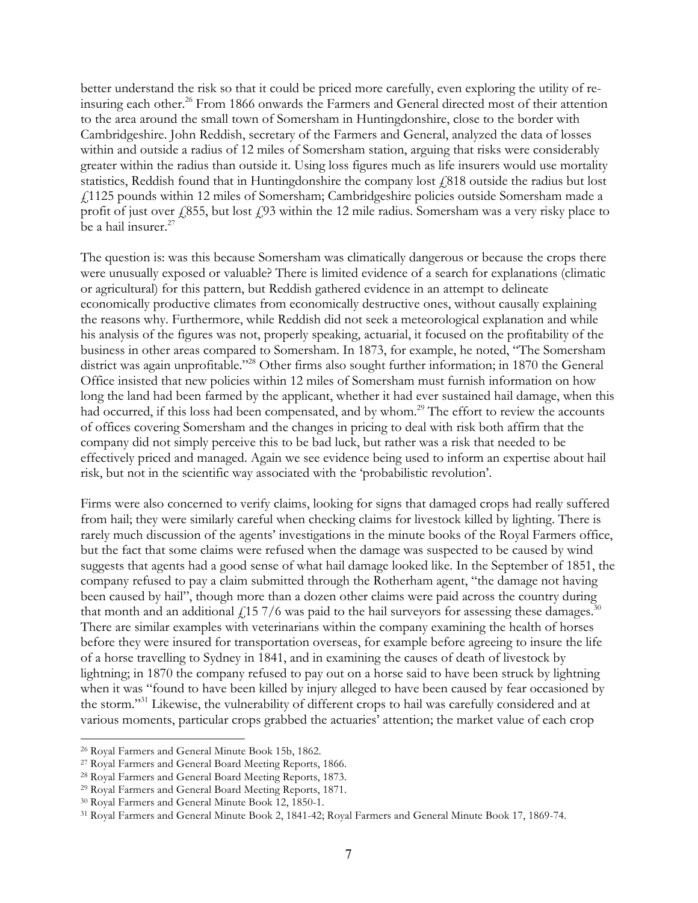better understand the risk so that it could be priced more carefully, even exploring the utility of reinsuring each other.<sup>26</sup> From 1866 onwards the Farmers and General directed most of their attention to the area around the small town of Somersham in Huntingdonshire, close to the border with Cambridgeshire. John Reddish, secretary of the Farmers and General, analyzed the data of losses within and outside a radius of 12 miles of Somersham station, arguing that risks were considerably greater within the radius than outside it. Using loss figures much as life insurers would use mortality statistics, Reddish found that in Huntingdonshire the company lost  $\ell$ 818 outside the radius but lost £1125 pounds within 12 miles of Somersham; Cambridgeshire policies outside Somersham made a profit of just over  $\frac{1}{855}$ , but lost  $\frac{1}{3}$  within the 12 mile radius. Somersham was a very risky place to be a hail insurer.<sup>27</sup>

The question is: was this because Somersham was climatically dangerous or because the crops there were unusually exposed or valuable? There is limited evidence of a search for explanations (climatic or agricultural) for this pattern, but Reddish gathered evidence in an attempt to delineate economically productive climates from economically destructive ones, without causally explaining the reasons why. Furthermore, while Reddish did not seek a meteorological explanation and while his analysis of the figures was not, properly speaking, actuarial, it focused on the profitability of the business in other areas compared to Somersham. In 1873, for example, he noted, "The Somersham district was again unprofitable."<sup>28</sup> Other firms also sought further information; in 1870 the General Office insisted that new policies within 12 miles of Somersham must furnish information on how long the land had been farmed by the applicant, whether it had ever sustained hail damage, when this had occurred, if this loss had been compensated, and by whom.<sup>29</sup> The effort to review the accounts of offices covering Somersham and the changes in pricing to deal with risk both affirm that the company did not simply perceive this to be bad luck, but rather was a risk that needed to be effectively priced and managed. Again we see evidence being used to inform an expertise about hail risk, but not in the scientific way associated with the 'probabilistic revolution'.

Firms were also concerned to verify claims, looking for signs that damaged crops had really suffered from hail; they were similarly careful when checking claims for livestock killed by lighting. There is rarely much discussion of the agents' investigations in the minute books of the Royal Farmers office, but the fact that some claims were refused when the damage was suspected to be caused by wind suggests that agents had a good sense of what hail damage looked like. In the September of 1851, the company refused to pay a claim submitted through the Rotherham agent, "the damage not having been caused by hail", though more than a dozen other claims were paid across the country during that month and an additional  $\frac{1}{15}$  7/6 was paid to the hail surveyors for assessing these damages.<sup>30</sup> There are similar examples with veterinarians within the company examining the health of horses before they were insured for transportation overseas, for example before agreeing to insure the life of a horse travelling to Sydney in 1841, and in examining the causes of death of livestock by lightning; in 1870 the company refused to pay out on a horse said to have been struck by lightning when it was "found to have been killed by injury alleged to have been caused by fear occasioned by the storm."31 Likewise, the vulnerability of different crops to hail was carefully considered and at various moments, particular crops grabbed the actuaries' attention; the market value of each crop

<sup>26</sup> Royal Farmers and General Minute Book 15b, 1862.

<sup>27</sup> Royal Farmers and General Board Meeting Reports, 1866.

<sup>28</sup> Royal Farmers and General Board Meeting Reports, 1873.

<sup>29</sup> Royal Farmers and General Board Meeting Reports, 1871.

<sup>30</sup> Royal Farmers and General Minute Book 12, 1850-1.

<sup>31</sup> Royal Farmers and General Minute Book 2, 1841-42; Royal Farmers and General Minute Book 17, 1869-74.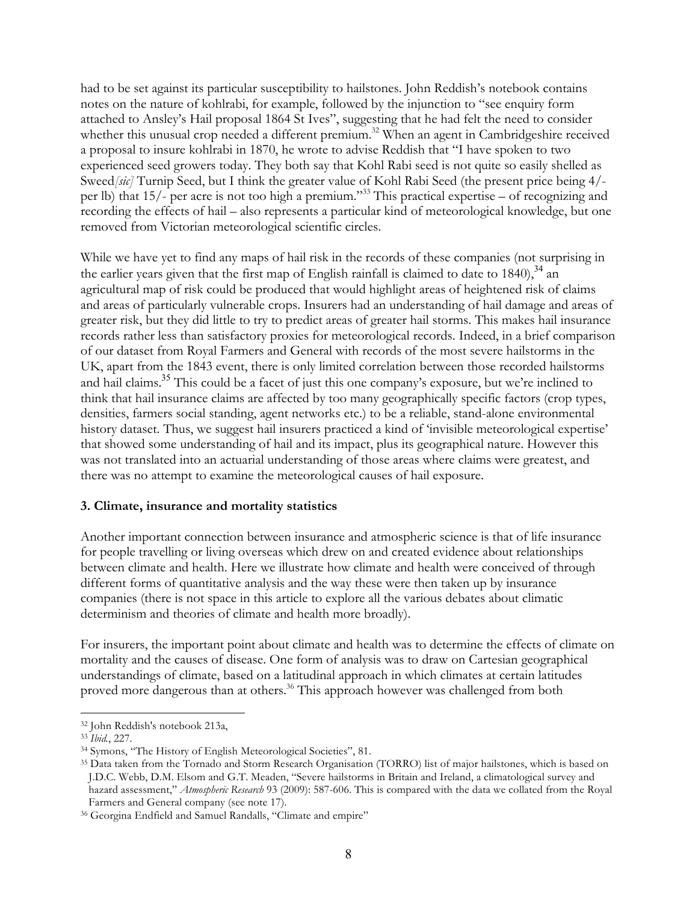had to be set against its particular susceptibility to hailstones. John Reddish's notebook contains notes on the nature of kohlrabi, for example, followed by the injunction to "see enquiry form attached to Ansley's Hail proposal 1864 St Ives", suggesting that he had felt the need to consider whether this unusual crop needed a different premium.<sup>32</sup> When an agent in Cambridgeshire received a proposal to insure kohlrabi in 1870, he wrote to advise Reddish that "I have spoken to two experienced seed growers today. They both say that Kohl Rabi seed is not quite so easily shelled as Sweed*[sic]* Turnip Seed, but I think the greater value of Kohl Rabi Seed (the present price being 4/ per lb) that 15/- per acre is not too high a premium."33 This practical expertise – of recognizing and recording the effects of hail – also represents a particular kind of meteorological knowledge, but one removed from Victorian meteorological scientific circles.

While we have yet to find any maps of hail risk in the records of these companies (not surprising in the earlier years given that the first map of English rainfall is claimed to date to  $1840$ ,  $^{34}$  an agricultural map of risk could be produced that would highlight areas of heightened risk of claims and areas of particularly vulnerable crops. Insurers had an understanding of hail damage and areas of greater risk, but they did little to try to predict areas of greater hail storms. This makes hail insurance records rather less than satisfactory proxies for meteorological records. Indeed, in a brief comparison of our dataset from Royal Farmers and General with records of the most severe hailstorms in the UK, apart from the 1843 event, there is only limited correlation between those recorded hailstorms and hail claims.<sup>35</sup> This could be a facet of just this one company's exposure, but we're inclined to think that hail insurance claims are affected by too many geographically specific factors (crop types, densities, farmers social standing, agent networks etc.) to be a reliable, stand-alone environmental history dataset. Thus, we suggest hail insurers practiced a kind of 'invisible meteorological expertise' that showed some understanding of hail and its impact, plus its geographical nature. However this was not translated into an actuarial understanding of those areas where claims were greatest, and there was no attempt to examine the meteorological causes of hail exposure.

# **3. Climate, insurance and mortality statistics**

Another important connection between insurance and atmospheric science is that of life insurance for people travelling or living overseas which drew on and created evidence about relationships between climate and health. Here we illustrate how climate and health were conceived of through different forms of quantitative analysis and the way these were then taken up by insurance companies (there is not space in this article to explore all the various debates about climatic determinism and theories of climate and health more broadly).

For insurers, the important point about climate and health was to determine the effects of climate on mortality and the causes of disease. One form of analysis was to draw on Cartesian geographical understandings of climate, based on a latitudinal approach in which climates at certain latitudes proved more dangerous than at others.<sup>36</sup> This approach however was challenged from both

<sup>32</sup> John Reddish's notebook 213a,

<sup>33</sup> *Ibid.*, 227.

<sup>34</sup> Symons, "The History of English Meteorological Societies", 81.

<sup>35</sup> Data taken from the Tornado and Storm Research Organisation (TORRO) list of major hailstones, which is based on J.D.C. Webb, D.M. Elsom and G.T. Meaden, "Severe hailstorms in Britain and Ireland, a climatological survey and hazard assessment," *Atmospheric Research* 93 (2009): 587-606. This is compared with the data we collated from the Royal Farmers and General company (see note 17).

<sup>&</sup>lt;sup>36</sup> Georgina Endfield and Samuel Randalls, "Climate and empire"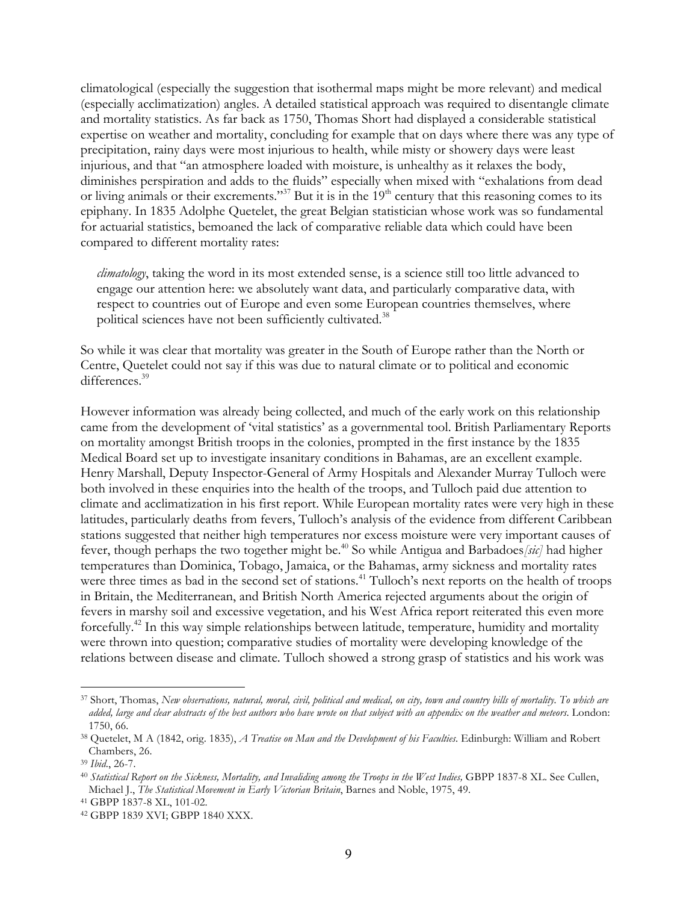climatological (especially the suggestion that isothermal maps might be more relevant) and medical (especially acclimatization) angles. A detailed statistical approach was required to disentangle climate and mortality statistics. As far back as 1750, Thomas Short had displayed a considerable statistical expertise on weather and mortality, concluding for example that on days where there was any type of precipitation, rainy days were most injurious to health, while misty or showery days were least injurious, and that "an atmosphere loaded with moisture, is unhealthy as it relaxes the body, diminishes perspiration and adds to the fluids" especially when mixed with "exhalations from dead or living animals or their excrements."<sup>37</sup> But it is in the  $19<sup>th</sup>$  century that this reasoning comes to its epiphany. In 1835 Adolphe Quetelet, the great Belgian statistician whose work was so fundamental for actuarial statistics, bemoaned the lack of comparative reliable data which could have been compared to different mortality rates:

*climatology*, taking the word in its most extended sense, is a science still too little advanced to engage our attention here: we absolutely want data, and particularly comparative data, with respect to countries out of Europe and even some European countries themselves, where political sciences have not been sufficiently cultivated.<sup>38</sup>

So while it was clear that mortality was greater in the South of Europe rather than the North or Centre, Quetelet could not say if this was due to natural climate or to political and economic differences.<sup>39</sup>

However information was already being collected, and much of the early work on this relationship came from the development of 'vital statistics' as a governmental tool. British Parliamentary Reports on mortality amongst British troops in the colonies, prompted in the first instance by the 1835 Medical Board set up to investigate insanitary conditions in Bahamas, are an excellent example. Henry Marshall, Deputy Inspector-General of Army Hospitals and Alexander Murray Tulloch were both involved in these enquiries into the health of the troops, and Tulloch paid due attention to climate and acclimatization in his first report. While European mortality rates were very high in these latitudes, particularly deaths from fevers, Tulloch's analysis of the evidence from different Caribbean stations suggested that neither high temperatures nor excess moisture were very important causes of fever, though perhaps the two together might be.<sup>40</sup> So while Antigua and Barbadoes [sic] had higher temperatures than Dominica, Tobago, Jamaica, or the Bahamas, army sickness and mortality rates were three times as bad in the second set of stations.<sup>41</sup> Tulloch's next reports on the health of troops in Britain, the Mediterranean, and British North America rejected arguments about the origin of fevers in marshy soil and excessive vegetation, and his West Africa report reiterated this even more forcefully.42 In this way simple relationships between latitude, temperature, humidity and mortality were thrown into question; comparative studies of mortality were developing knowledge of the relations between disease and climate. Tulloch showed a strong grasp of statistics and his work was

<sup>37</sup> Short, Thomas, *New observations, natural, moral, civil, political and medical, on city, town and country bills of mortality. To which are added, large and clear abstracts of the best authors who have wrote on that subject with an appendix on the weather and meteors*. London: 1750, 66.

<sup>38</sup> Quetelet, M A (1842, orig. 1835), *A Treatise on Man and the Development of his Faculties*. Edinburgh: William and Robert Chambers, 26.

<sup>39</sup> *Ibid*., 26-7.

<sup>40</sup> *Statistical Report on the Sickness, Mortality, and Invaliding among the Troops in the West Indies,* GBPP 1837-8 XL. See Cullen, Michael J., *The Statistical Movement in Early Victorian Britain*, Barnes and Noble, 1975, 49.

<sup>41</sup> GBPP 1837-8 XL, 101-02.

<sup>42</sup> GBPP 1839 XVI; GBPP 1840 XXX.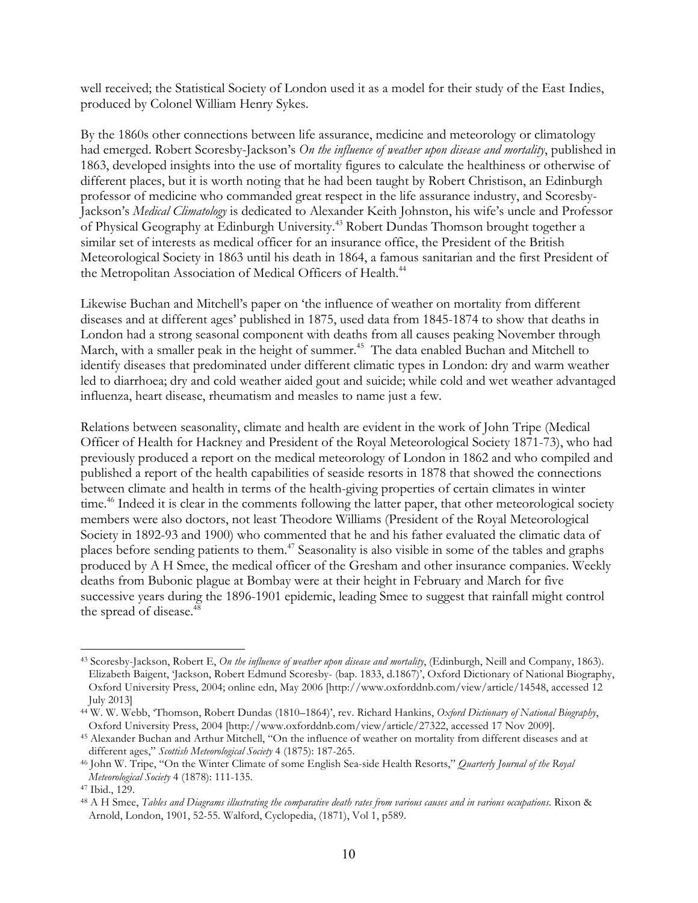well received; the Statistical Society of London used it as a model for their study of the East Indies, produced by Colonel William Henry Sykes.

By the 1860s other connections between life assurance, medicine and meteorology or climatology had emerged. Robert Scoresby-Jackson's *On the influence of weather upon disease and mortality*, published in 1863, developed insights into the use of mortality figures to calculate the healthiness or otherwise of different places, but it is worth noting that he had been taught by Robert Christison, an Edinburgh professor of medicine who commanded great respect in the life assurance industry, and Scoresby-Jackson's *Medical Climatology* is dedicated to Alexander Keith Johnston, his wife's uncle and Professor of Physical Geography at Edinburgh University.43 Robert Dundas Thomson brought together a similar set of interests as medical officer for an insurance office, the President of the British Meteorological Society in 1863 until his death in 1864, a famous sanitarian and the first President of the Metropolitan Association of Medical Officers of Health.<sup>44</sup>

Likewise Buchan and Mitchell's paper on 'the influence of weather on mortality from different diseases and at different ages' published in 1875, used data from 1845-1874 to show that deaths in London had a strong seasonal component with deaths from all causes peaking November through March, with a smaller peak in the height of summer.<sup>45</sup> The data enabled Buchan and Mitchell to identify diseases that predominated under different climatic types in London: dry and warm weather led to diarrhoea; dry and cold weather aided gout and suicide; while cold and wet weather advantaged influenza, heart disease, rheumatism and measles to name just a few.

Relations between seasonality, climate and health are evident in the work of John Tripe (Medical Officer of Health for Hackney and President of the Royal Meteorological Society 1871-73), who had previously produced a report on the medical meteorology of London in 1862 and who compiled and published a report of the health capabilities of seaside resorts in 1878 that showed the connections between climate and health in terms of the health-giving properties of certain climates in winter time.<sup>46</sup> Indeed it is clear in the comments following the latter paper, that other meteorological society members were also doctors, not least Theodore Williams (President of the Royal Meteorological Society in 1892-93 and 1900) who commented that he and his father evaluated the climatic data of places before sending patients to them.47 Seasonality is also visible in some of the tables and graphs produced by A H Smee, the medical officer of the Gresham and other insurance companies. Weekly deaths from Bubonic plague at Bombay were at their height in February and March for five successive years during the 1896-1901 epidemic, leading Smee to suggest that rainfall might control the spread of disease.<sup>48</sup>

l <sup>43</sup> Scoresby-Jackson, Robert E, *On the influence of weather upon disease and mortality*, (Edinburgh, Neill and Company, 1863). Elizabeth Baigent, 'Jackson, Robert Edmund Scoresby- (bap. 1833, d.1867)', Oxford Dictionary of National Biography, Oxford University Press, 2004; online edn, May 2006 [http://www.oxforddnb.com/view/article/14548, accessed 12 July 2013]

<sup>44</sup> W. W. Webb, 'Thomson, Robert Dundas (1810–1864)', rev. Richard Hankins, *Oxford Dictionary of National Biography*, Oxford University Press, 2004 [http://www.oxforddnb.com/view/article/27322, accessed 17 Nov 2009].

<sup>45</sup> Alexander Buchan and Arthur Mitchell, "On the influence of weather on mortality from different diseases and at different ages," *Scottish Meteorological Society* 4 (1875): 187-265.

<sup>46</sup> John W. Tripe, "On the Winter Climate of some English Sea-side Health Resorts," *Quarterly Journal of the Royal Meteorological Society* 4 (1878): 111-135.

<sup>47</sup> Ibid., 129.

<sup>48</sup> A H Smee, *Tables and Diagrams illustrating the comparative death rates from various causes and in various occupations*. Rixon & Arnold, London, 1901, 52-55. Walford, Cyclopedia, (1871), Vol 1, p589.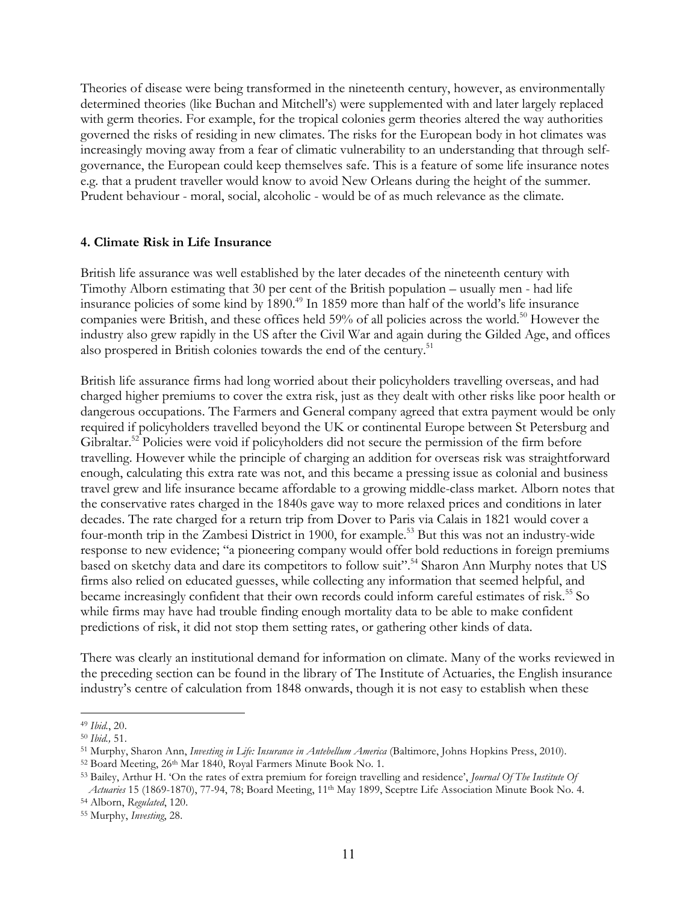Theories of disease were being transformed in the nineteenth century, however, as environmentally determined theories (like Buchan and Mitchell's) were supplemented with and later largely replaced with germ theories. For example, for the tropical colonies germ theories altered the way authorities governed the risks of residing in new climates. The risks for the European body in hot climates was increasingly moving away from a fear of climatic vulnerability to an understanding that through selfgovernance, the European could keep themselves safe. This is a feature of some life insurance notes e.g. that a prudent traveller would know to avoid New Orleans during the height of the summer. Prudent behaviour - moral, social, alcoholic - would be of as much relevance as the climate.

#### **4. Climate Risk in Life Insurance**

British life assurance was well established by the later decades of the nineteenth century with Timothy Alborn estimating that 30 per cent of the British population – usually men - had life insurance policies of some kind by 1890.<sup>49</sup> In 1859 more than half of the world's life insurance companies were British, and these offices held 59% of all policies across the world.<sup>50</sup> However the industry also grew rapidly in the US after the Civil War and again during the Gilded Age, and offices also prospered in British colonies towards the end of the century.<sup>51</sup>

British life assurance firms had long worried about their policyholders travelling overseas, and had charged higher premiums to cover the extra risk, just as they dealt with other risks like poor health or dangerous occupations. The Farmers and General company agreed that extra payment would be only required if policyholders travelled beyond the UK or continental Europe between St Petersburg and Gibraltar.<sup>52</sup> Policies were void if policyholders did not secure the permission of the firm before travelling. However while the principle of charging an addition for overseas risk was straightforward enough, calculating this extra rate was not, and this became a pressing issue as colonial and business travel grew and life insurance became affordable to a growing middle-class market. Alborn notes that the conservative rates charged in the 1840s gave way to more relaxed prices and conditions in later decades. The rate charged for a return trip from Dover to Paris via Calais in 1821 would cover a four-month trip in the Zambesi District in 1900, for example.<sup>53</sup> But this was not an industry-wide response to new evidence; "a pioneering company would offer bold reductions in foreign premiums based on sketchy data and dare its competitors to follow suit".<sup>54</sup> Sharon Ann Murphy notes that US firms also relied on educated guesses, while collecting any information that seemed helpful, and became increasingly confident that their own records could inform careful estimates of risk.<sup>55</sup> So while firms may have had trouble finding enough mortality data to be able to make confident predictions of risk, it did not stop them setting rates, or gathering other kinds of data.

There was clearly an institutional demand for information on climate. Many of the works reviewed in the preceding section can be found in the library of The Institute of Actuaries, the English insurance industry's centre of calculation from 1848 onwards, though it is not easy to establish when these

<sup>49</sup> *Ibid.*, 20.

<sup>50</sup> *Ibid.,* 51.

<sup>51</sup> Murphy, Sharon Ann, *Investing in Life: Insurance in Antebellum America* (Baltimore, Johns Hopkins Press, 2010).

<sup>52</sup> Board Meeting, 26<sup>th</sup> Mar 1840, Royal Farmers Minute Book No. 1.

<sup>53</sup> Bailey, Arthur H. 'On the rates of extra premium for foreign travelling and residence', *Journal Of The Institute Of*  Actuaries 15 (1869-1870), 77-94, 78; Board Meeting, 11<sup>th</sup> May 1899, Sceptre Life Association Minute Book No. 4.

<sup>54</sup> Alborn, *Regulated*, 120.

<sup>55</sup> Murphy, *Investing*, 28.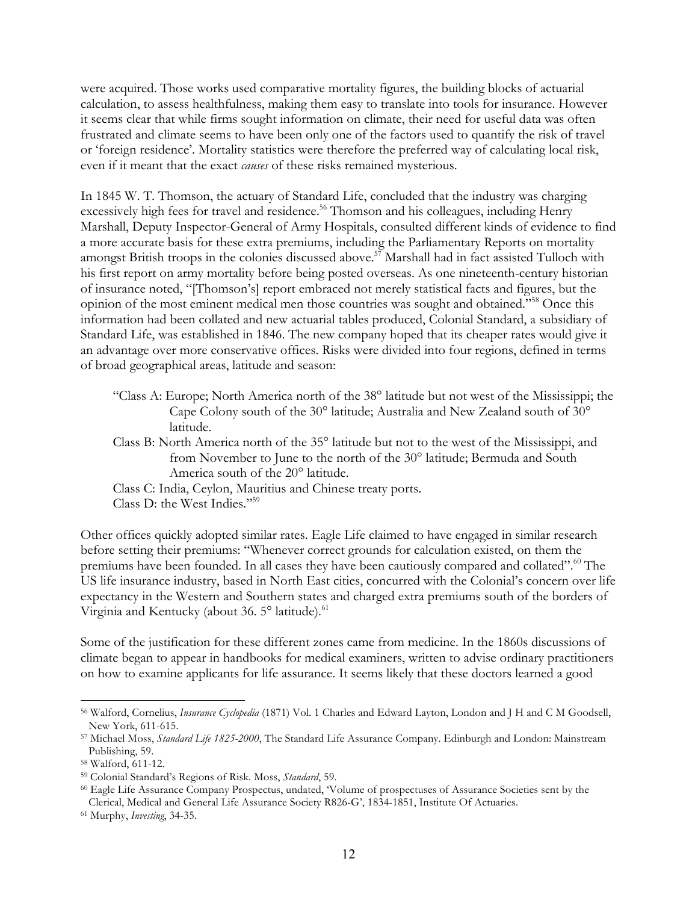were acquired. Those works used comparative mortality figures, the building blocks of actuarial calculation, to assess healthfulness, making them easy to translate into tools for insurance. However it seems clear that while firms sought information on climate, their need for useful data was often frustrated and climate seems to have been only one of the factors used to quantify the risk of travel or 'foreign residence'. Mortality statistics were therefore the preferred way of calculating local risk, even if it meant that the exact *causes* of these risks remained mysterious.

In 1845 W. T. Thomson, the actuary of Standard Life, concluded that the industry was charging excessively high fees for travel and residence.<sup>56</sup> Thomson and his colleagues, including Henry Marshall, Deputy Inspector-General of Army Hospitals, consulted different kinds of evidence to find a more accurate basis for these extra premiums, including the Parliamentary Reports on mortality amongst British troops in the colonies discussed above.<sup>57</sup> Marshall had in fact assisted Tulloch with his first report on army mortality before being posted overseas. As one nineteenth-century historian of insurance noted, "[Thomson's] report embraced not merely statistical facts and figures, but the opinion of the most eminent medical men those countries was sought and obtained."58 Once this information had been collated and new actuarial tables produced, Colonial Standard, a subsidiary of Standard Life, was established in 1846. The new company hoped that its cheaper rates would give it an advantage over more conservative offices. Risks were divided into four regions, defined in terms of broad geographical areas, latitude and season:

- "Class A: Europe; North America north of the 38° latitude but not west of the Mississippi; the Cape Colony south of the 30° latitude; Australia and New Zealand south of 30° latitude.
- Class B: North America north of the 35° latitude but not to the west of the Mississippi, and from November to June to the north of the 30° latitude; Bermuda and South America south of the 20° latitude.
- Class C: India, Ceylon, Mauritius and Chinese treaty ports.

Class D: the West Indies."59

Other offices quickly adopted similar rates. Eagle Life claimed to have engaged in similar research before setting their premiums: "Whenever correct grounds for calculation existed, on them the premiums have been founded. In all cases they have been cautiously compared and collated".<sup>60</sup> The US life insurance industry, based in North East cities, concurred with the Colonial's concern over life expectancy in the Western and Southern states and charged extra premiums south of the borders of Virginia and Kentucky (about 36.  $5^{\circ}$  latitude).<sup>61</sup>

Some of the justification for these different zones came from medicine. In the 1860s discussions of climate began to appear in handbooks for medical examiners, written to advise ordinary practitioners on how to examine applicants for life assurance. It seems likely that these doctors learned a good

<sup>56</sup> Walford, Cornelius, *Insurance Cyclopedia* (1871) Vol. 1 Charles and Edward Layton, London and J H and C M Goodsell, New York, 611-615.

<sup>57</sup> Michael Moss, *Standard Life 1825-2000*, The Standard Life Assurance Company. Edinburgh and London: Mainstream Publishing, 59.

<sup>58</sup> Walford, 611-12.

<sup>59</sup> Colonial Standard's Regions of Risk. Moss, *Standard*, 59.

<sup>60</sup> Eagle Life Assurance Company Prospectus, undated, 'Volume of prospectuses of Assurance Societies sent by the Clerical, Medical and General Life Assurance Society R826-G', 1834-1851, Institute Of Actuaries.

<sup>61</sup> Murphy, *Investing*, 34-35.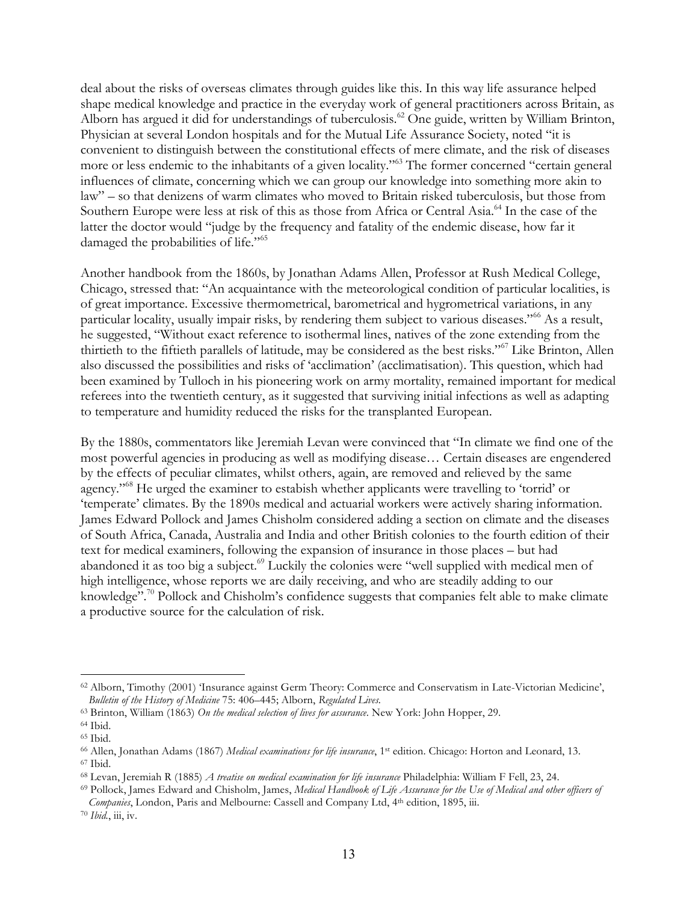deal about the risks of overseas climates through guides like this. In this way life assurance helped shape medical knowledge and practice in the everyday work of general practitioners across Britain, as Alborn has argued it did for understandings of tuberculosis.<sup>62</sup> One guide, written by William Brinton, Physician at several London hospitals and for the Mutual Life Assurance Society, noted "it is convenient to distinguish between the constitutional effects of mere climate, and the risk of diseases more or less endemic to the inhabitants of a given locality."63 The former concerned "certain general influences of climate, concerning which we can group our knowledge into something more akin to law" – so that denizens of warm climates who moved to Britain risked tuberculosis, but those from Southern Europe were less at risk of this as those from Africa or Central Asia.<sup>64</sup> In the case of the latter the doctor would "judge by the frequency and fatality of the endemic disease, how far it damaged the probabilities of life."<sup>65</sup>

Another handbook from the 1860s, by Jonathan Adams Allen, Professor at Rush Medical College, Chicago, stressed that: "An acquaintance with the meteorological condition of particular localities, is of great importance. Excessive thermometrical, barometrical and hygrometrical variations, in any particular locality, usually impair risks, by rendering them subject to various diseases."<sup>66</sup> As a result, he suggested, "Without exact reference to isothermal lines, natives of the zone extending from the thirtieth to the fiftieth parallels of latitude, may be considered as the best risks."67 Like Brinton, Allen also discussed the possibilities and risks of 'acclimation' (acclimatisation). This question, which had been examined by Tulloch in his pioneering work on army mortality, remained important for medical referees into the twentieth century, as it suggested that surviving initial infections as well as adapting to temperature and humidity reduced the risks for the transplanted European.

By the 1880s, commentators like Jeremiah Levan were convinced that "In climate we find one of the most powerful agencies in producing as well as modifying disease… Certain diseases are engendered by the effects of peculiar climates, whilst others, again, are removed and relieved by the same agency."68 He urged the examiner to estabish whether applicants were travelling to 'torrid' or 'temperate' climates. By the 1890s medical and actuarial workers were actively sharing information. James Edward Pollock and James Chisholm considered adding a section on climate and the diseases of South Africa, Canada, Australia and India and other British colonies to the fourth edition of their text for medical examiners, following the expansion of insurance in those places – but had abandoned it as too big a subject.<sup>69</sup> Luckily the colonies were "well supplied with medical men of high intelligence, whose reports we are daily receiving, and who are steadily adding to our knowledge".<sup>70</sup> Pollock and Chisholm's confidence suggests that companies felt able to make climate a productive source for the calculation of risk.

<sup>62</sup> Alborn, Timothy (2001) 'Insurance against Germ Theory: Commerce and Conservatism in Late-Victorian Medicine', *Bulletin of the History of Medicine* 75: 406–445; Alborn, *Regulated Lives.*

<sup>63</sup> Brinton, William (1863) *On the medical selection of lives for assurance*. New York: John Hopper, 29.

<sup>64</sup> Ibid.

<sup>65</sup> Ibid.

<sup>66</sup> Allen, Jonathan Adams (1867) *Medical examinations for life insurance*, 1st edition. Chicago: Horton and Leonard, 13. <sup>67</sup> Ibid.

<sup>68</sup> Levan, Jeremiah R (1885) *A treatise on medical examination for life insurance* Philadelphia: William F Fell, 23, 24.

<sup>69</sup> Pollock, James Edward and Chisholm, James, *Medical Handbook of Life Assurance for the Use of Medical and other officers of Companies*, London, Paris and Melbourne: Cassell and Company Ltd, 4th edition, 1895, iii.

<sup>70</sup> *Ibid.*, iii, iv.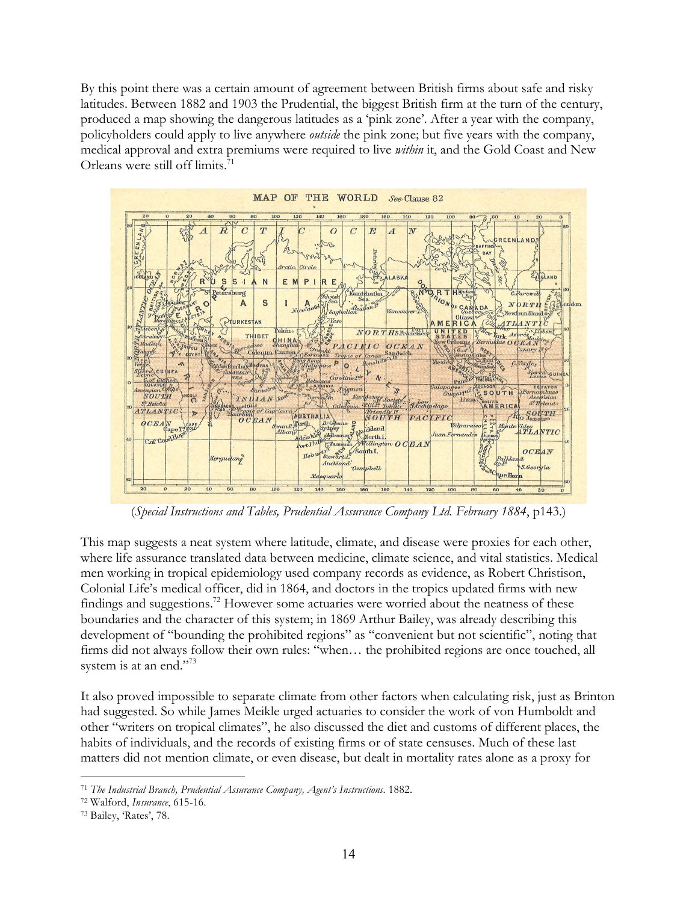By this point there was a certain amount of agreement between British firms about safe and risky latitudes. Between 1882 and 1903 the Prudential, the biggest British firm at the turn of the century, produced a map showing the dangerous latitudes as a 'pink zone'. After a year with the company, policyholders could apply to live anywhere *outside* the pink zone; but five years with the company, medical approval and extra premiums were required to live *within* it, and the Gold Coast and New Orleans were still off limits.<sup>71</sup>



(*Special Instructions and Tables, Prudential Assurance Company Ltd. February 1884*, p143.)

This map suggests a neat system where latitude, climate, and disease were proxies for each other, where life assurance translated data between medicine, climate science, and vital statistics. Medical men working in tropical epidemiology used company records as evidence, as Robert Christison, Colonial Life's medical officer, did in 1864, and doctors in the tropics updated firms with new findings and suggestions.<sup>72</sup> However some actuaries were worried about the neatness of these boundaries and the character of this system; in 1869 Arthur Bailey, was already describing this development of "bounding the prohibited regions" as "convenient but not scientific", noting that firms did not always follow their own rules: "when… the prohibited regions are once touched, all system is at an end."<sup>73</sup>

It also proved impossible to separate climate from other factors when calculating risk, just as Brinton had suggested. So while James Meikle urged actuaries to consider the work of von Humboldt and other "writers on tropical climates", he also discussed the diet and customs of different places, the habits of individuals, and the records of existing firms or of state censuses. Much of these last matters did not mention climate, or even disease, but dealt in mortality rates alone as a proxy for

<sup>71</sup> *The Industrial Branch, Prudential Assurance Company, Agent's Instructions*. 1882. 72 Walford, *Insurance*, 615-16.

<sup>73</sup> Bailey, 'Rates', 78.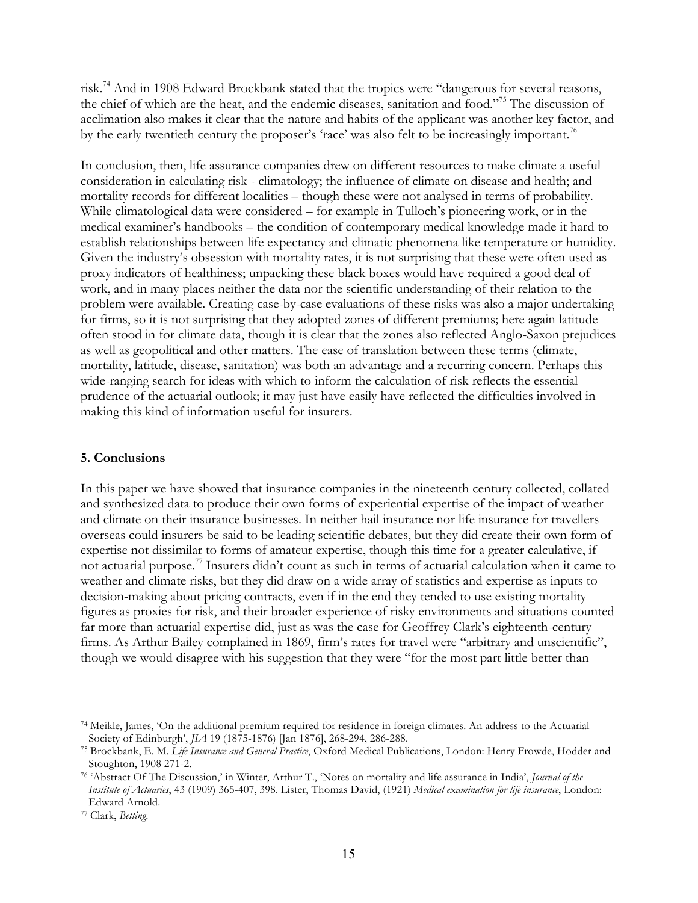risk.74 And in 1908 Edward Brockbank stated that the tropics were "dangerous for several reasons, the chief of which are the heat, and the endemic diseases, sanitation and food."75 The discussion of acclimation also makes it clear that the nature and habits of the applicant was another key factor, and by the early twentieth century the proposer's 'race' was also felt to be increasingly important.<sup>76</sup>

In conclusion, then, life assurance companies drew on different resources to make climate a useful consideration in calculating risk - climatology; the influence of climate on disease and health; and mortality records for different localities – though these were not analysed in terms of probability. While climatological data were considered – for example in Tulloch's pioneering work, or in the medical examiner's handbooks – the condition of contemporary medical knowledge made it hard to establish relationships between life expectancy and climatic phenomena like temperature or humidity. Given the industry's obsession with mortality rates, it is not surprising that these were often used as proxy indicators of healthiness; unpacking these black boxes would have required a good deal of work, and in many places neither the data nor the scientific understanding of their relation to the problem were available. Creating case-by-case evaluations of these risks was also a major undertaking for firms, so it is not surprising that they adopted zones of different premiums; here again latitude often stood in for climate data, though it is clear that the zones also reflected Anglo-Saxon prejudices as well as geopolitical and other matters. The ease of translation between these terms (climate, mortality, latitude, disease, sanitation) was both an advantage and a recurring concern. Perhaps this wide-ranging search for ideas with which to inform the calculation of risk reflects the essential prudence of the actuarial outlook; it may just have easily have reflected the difficulties involved in making this kind of information useful for insurers.

## **5. Conclusions**

In this paper we have showed that insurance companies in the nineteenth century collected, collated and synthesized data to produce their own forms of experiential expertise of the impact of weather and climate on their insurance businesses. In neither hail insurance nor life insurance for travellers overseas could insurers be said to be leading scientific debates, but they did create their own form of expertise not dissimilar to forms of amateur expertise, though this time for a greater calculative, if not actuarial purpose.77 Insurers didn't count as such in terms of actuarial calculation when it came to weather and climate risks, but they did draw on a wide array of statistics and expertise as inputs to decision-making about pricing contracts, even if in the end they tended to use existing mortality figures as proxies for risk, and their broader experience of risky environments and situations counted far more than actuarial expertise did, just as was the case for Geoffrey Clark's eighteenth-century firms. As Arthur Bailey complained in 1869, firm's rates for travel were "arbitrary and unscientific", though we would disagree with his suggestion that they were "for the most part little better than

<sup>74</sup> Meikle, James, 'On the additional premium required for residence in foreign climates. An address to the Actuarial Society of Edinburgh', *JIA* 19 (1875-1876) [Jan 1876], 268-294, 286-288.

<sup>75</sup> Brockbank, E. M. *Life Insurance and General Practice*, Oxford Medical Publications, London: Henry Frowde, Hodder and Stoughton, 1908 271-2.

<sup>76</sup> 'Abstract Of The Discussion,' in Winter, Arthur T., 'Notes on mortality and life assurance in India', *Journal of the Institute of Actuaries*, 43 (1909) 365-407, 398. Lister, Thomas David, (1921) *Medical examination for life insurance*, London: Edward Arnold.

<sup>77</sup> Clark, *Betting*.